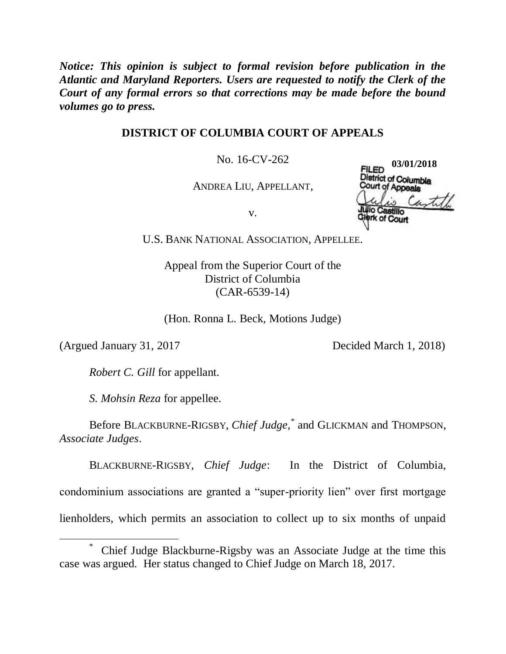*Notice: This opinion is subject to formal revision before publication in the Atlantic and Maryland Reporters. Users are requested to notify the Clerk of the Court of any formal errors so that corrections may be made before the bound volumes go to press.*

## **DISTRICT OF COLUMBIA COURT OF APPEALS**

No. 16-CV-262

ANDREA LIU, APPELLANT,

**03/01/2018FILED** District of Columbia Court of Appeals

v.

U.S. BANK NATIONAL ASSOCIATION, APPELLEE.

Appeal from the Superior Court of the District of Columbia (CAR-6539-14)

(Hon. Ronna L. Beck, Motions Judge)

(Argued January 31, 2017 Decided March 1, 2018)

 $\overline{a}$ 

*Robert C. Gill* for appellant.

*S. Mohsin Reza* for appellee.

Before BLACKBURNE-RIGSBY, *Chief Judge*, *\** and GLICKMAN and THOMPSON, *Associate Judges*.

BLACKBURNE-RIGSBY, *Chief Judge*: In the District of Columbia, condominium associations are granted a "super-priority lien" over first mortgage lienholders, which permits an association to collect up to six months of unpaid

<sup>\*</sup> Chief Judge Blackburne-Rigsby was an Associate Judge at the time this case was argued. Her status changed to Chief Judge on March 18, 2017.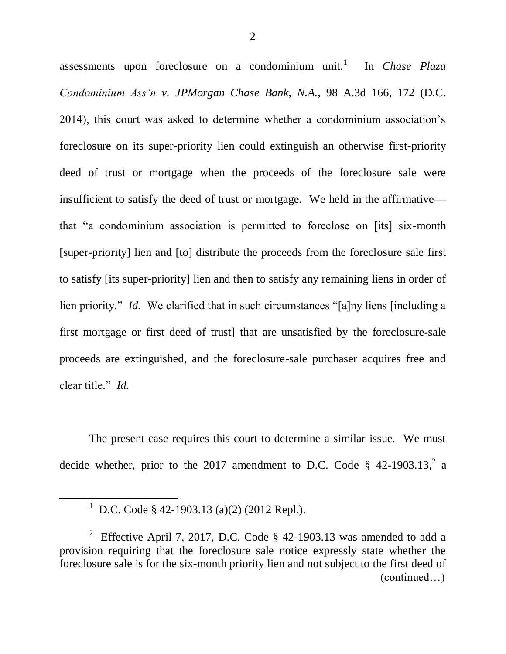assessments upon foreclosure on a condominium unit.<sup>1</sup> In *Chase Plaza Condominium Ass'n v. JPMorgan Chase Bank*, *N.A.*, 98 A.3d 166, 172 (D.C. 2014), this court was asked to determine whether a condominium association's foreclosure on its super-priority lien could extinguish an otherwise first-priority deed of trust or mortgage when the proceeds of the foreclosure sale were insufficient to satisfy the deed of trust or mortgage. We held in the affirmative that "a condominium association is permitted to foreclose on [its] six-month [super-priority] lien and [to] distribute the proceeds from the foreclosure sale first to satisfy [its super-priority] lien and then to satisfy any remaining liens in order of lien priority." *Id.* We clarified that in such circumstances "[a]ny liens [including a first mortgage or first deed of trust] that are unsatisfied by the foreclosure-sale proceeds are extinguished, and the foreclosure-sale purchaser acquires free and clear title." *Id.* 

The present case requires this court to determine a similar issue. We must decide whether, prior to the 2017 amendment to D.C. Code  $\S$  42-1903.13,<sup>2</sup> a

<sup>1</sup> D.C. Code § 42-1903.13 (a)(2) (2012 Repl.).

 $\overline{\phantom{a}}$ 

<sup>&</sup>lt;sup>2</sup> Effective April 7, 2017, D.C. Code  $\S$  42-1903.13 was amended to add a provision requiring that the foreclosure sale notice expressly state whether the foreclosure sale is for the six-month priority lien and not subject to the first deed of (continued…)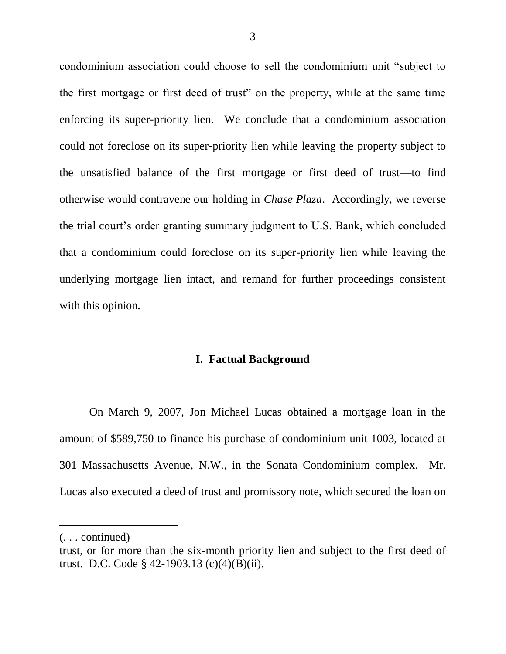condominium association could choose to sell the condominium unit "subject to the first mortgage or first deed of trust" on the property, while at the same time enforcing its super-priority lien. We conclude that a condominium association could not foreclose on its super-priority lien while leaving the property subject to the unsatisfied balance of the first mortgage or first deed of trust—to find otherwise would contravene our holding in *Chase Plaza*. Accordingly, we reverse the trial court's order granting summary judgment to U.S. Bank, which concluded that a condominium could foreclose on its super-priority lien while leaving the underlying mortgage lien intact, and remand for further proceedings consistent with this opinion.

### **I. Factual Background**

On March 9, 2007, Jon Michael Lucas obtained a mortgage loan in the amount of \$589,750 to finance his purchase of condominium unit 1003, located at 301 Massachusetts Avenue, N.W., in the Sonata Condominium complex.Mr. Lucas also executed a deed of trust and promissory note, which secured the loan on

<sup>(. . .</sup> continued)

trust, or for more than the six-month priority lien and subject to the first deed of trust. D.C. Code § 42-1903.13 (c)(4)(B)(ii).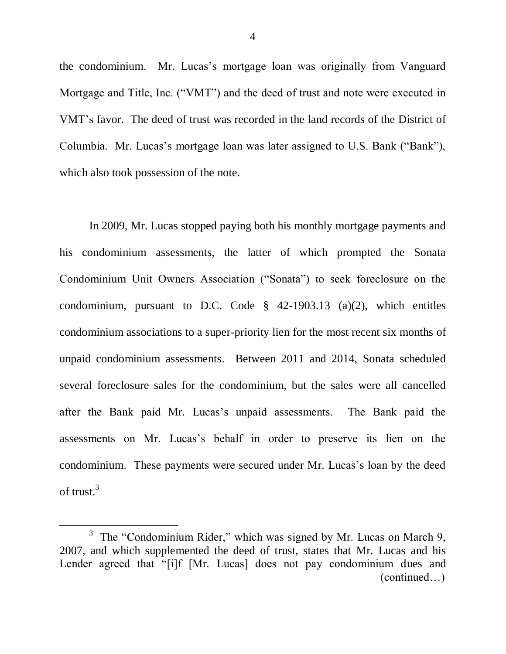the condominium. Mr. Lucas's mortgage loan was originally from Vanguard Mortgage and Title, Inc. ("VMT") and the deed of trust and note were executed in VMT's favor. The deed of trust was recorded in the land records of the District of Columbia. Mr. Lucas's mortgage loan was later assigned to U.S. Bank ("Bank"), which also took possession of the note.

In 2009, Mr. Lucas stopped paying both his monthly mortgage payments and his condominium assessments, the latter of which prompted the Sonata Condominium Unit Owners Association ("Sonata") to seek foreclosure on the condominium, pursuant to D.C. Code § 42-1903.13 (a)(2), which entitles condominium associations to a super-priority lien for the most recent six months of unpaid condominium assessments. Between 2011 and 2014, Sonata scheduled several foreclosure sales for the condominium, but the sales were all cancelled after the Bank paid Mr. Lucas's unpaid assessments. The Bank paid the assessments on Mr. Lucas's behalf in order to preserve its lien on the condominium. These payments were secured under Mr. Lucas's loan by the deed of trust. $3$ 

 $3$  The "Condominium Rider," which was signed by Mr. Lucas on March 9, 2007, and which supplemented the deed of trust, states that Mr. Lucas and his Lender agreed that "[i]f [Mr. Lucas] does not pay condominium dues and (continued…)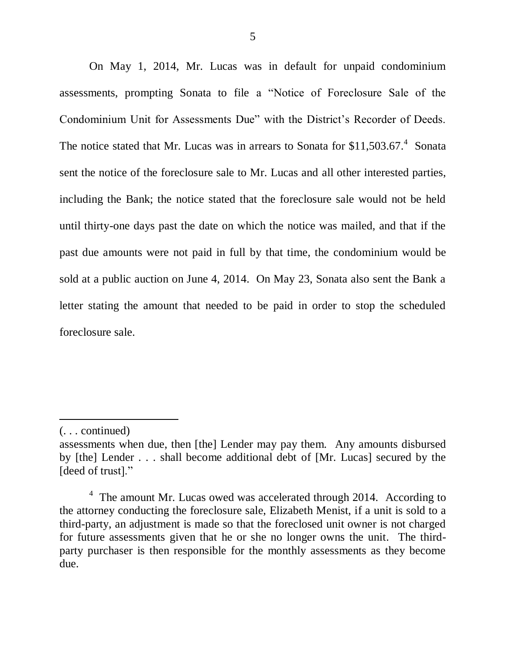On May 1, 2014, Mr. Lucas was in default for unpaid condominium assessments, prompting Sonata to file a "Notice of Foreclosure Sale of the Condominium Unit for Assessments Due" with the District's Recorder of Deeds. The notice stated that Mr. Lucas was in arrears to Sonata for \$11,503.67.<sup>4</sup> Sonata sent the notice of the foreclosure sale to Mr. Lucas and all other interested parties, including the Bank; the notice stated that the foreclosure sale would not be held until thirty-one days past the date on which the notice was mailed, and that if the past due amounts were not paid in full by that time, the condominium would be sold at a public auction on June 4, 2014. On May 23, Sonata also sent the Bank a letter stating the amount that needed to be paid in order to stop the scheduled foreclosure sale.

<sup>(. . .</sup> continued)

assessments when due, then [the] Lender may pay them. Any amounts disbursed by [the] Lender . . . shall become additional debt of [Mr. Lucas] secured by the [deed of trust]."

<sup>&</sup>lt;sup>4</sup> The amount Mr. Lucas owed was accelerated through 2014. According to the attorney conducting the foreclosure sale, Elizabeth Menist, if a unit is sold to a third-party, an adjustment is made so that the foreclosed unit owner is not charged for future assessments given that he or she no longer owns the unit. The thirdparty purchaser is then responsible for the monthly assessments as they become due.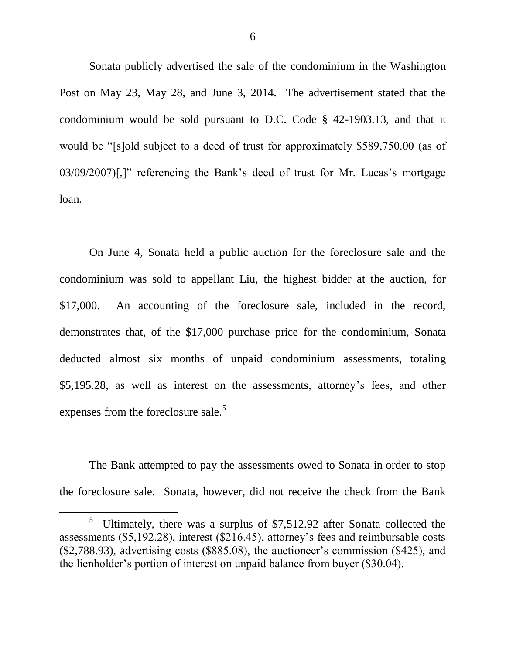Sonata publicly advertised the sale of the condominium in the Washington Post on May 23, May 28, and June 3, 2014. The advertisement stated that the condominium would be sold pursuant to D.C. Code § 42-1903.13, and that it would be "[s]old subject to a deed of trust for approximately \$589,750.00 (as of 03/09/2007)[,]" referencing the Bank's deed of trust for Mr. Lucas's mortgage loan.

On June 4, Sonata held a public auction for the foreclosure sale and the condominium was sold to appellant Liu, the highest bidder at the auction, for \$17,000. An accounting of the foreclosure sale, included in the record, demonstrates that, of the \$17,000 purchase price for the condominium, Sonata deducted almost six months of unpaid condominium assessments, totaling \$5,195.28, as well as interest on the assessments, attorney's fees, and other expenses from the foreclosure sale.<sup>5</sup>

The Bank attempted to pay the assessments owed to Sonata in order to stop the foreclosure sale. Sonata, however, did not receive the check from the Bank

<sup>5</sup> Ultimately, there was a surplus of \$7,512.92 after Sonata collected the assessments (\$5,192.28), interest (\$216.45), attorney's fees and reimbursable costs (\$2,788.93), advertising costs (\$885.08), the auctioneer's commission (\$425), and the lienholder's portion of interest on unpaid balance from buyer (\$30.04).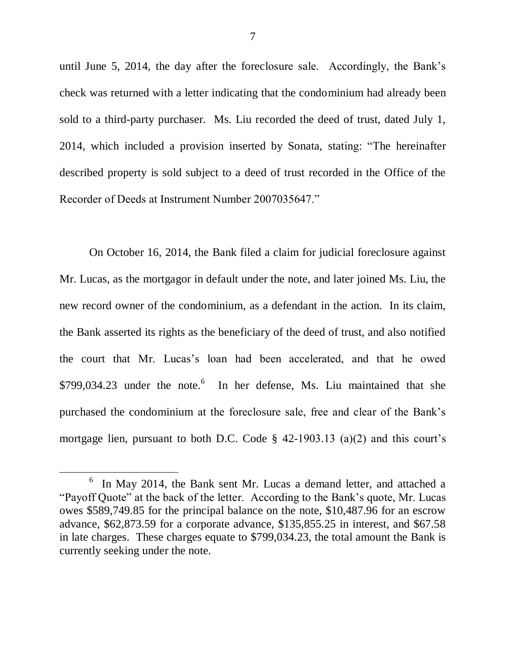until June 5, 2014, the day after the foreclosure sale. Accordingly, the Bank's check was returned with a letter indicating that the condominium had already been sold to a third-party purchaser. Ms. Liu recorded the deed of trust, dated July 1, 2014, which included a provision inserted by Sonata, stating: "The hereinafter described property is sold subject to a deed of trust recorded in the Office of the Recorder of Deeds at Instrument Number 2007035647."

On October 16, 2014, the Bank filed a claim for judicial foreclosure against Mr. Lucas, as the mortgagor in default under the note, and later joined Ms. Liu, the new record owner of the condominium, as a defendant in the action. In its claim, the Bank asserted its rights as the beneficiary of the deed of trust, and also notified the court that Mr. Lucas's loan had been accelerated, and that he owed  $$799,034.23$  under the note.<sup>6</sup> In her defense, Ms. Liu maintained that she purchased the condominium at the foreclosure sale, free and clear of the Bank's mortgage lien, pursuant to both D.C. Code § 42-1903.13 (a)(2) and this court's

 $\overline{\phantom{a}}$ 

<sup>&</sup>lt;sup>6</sup> In May 2014, the Bank sent Mr. Lucas a demand letter, and attached a "Payoff Quote" at the back of the letter. According to the Bank's quote, Mr. Lucas owes \$589,749.85 for the principal balance on the note, \$10,487.96 for an escrow advance, \$62,873.59 for a corporate advance, \$135,855.25 in interest, and \$67.58 in late charges. These charges equate to \$799,034.23, the total amount the Bank is currently seeking under the note.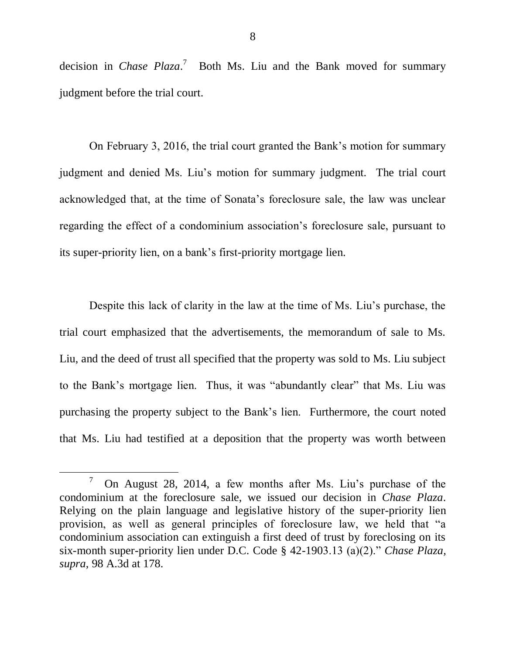decision in *Chase Plaza*. 7 Both Ms. Liu and the Bank moved for summary judgment before the trial court.

On February 3, 2016, the trial court granted the Bank's motion for summary judgment and denied Ms. Liu's motion for summary judgment. The trial court acknowledged that, at the time of Sonata's foreclosure sale, the law was unclear regarding the effect of a condominium association's foreclosure sale, pursuant to its super-priority lien, on a bank's first-priority mortgage lien.

Despite this lack of clarity in the law at the time of Ms. Liu's purchase, the trial court emphasized that the advertisements, the memorandum of sale to Ms. Liu, and the deed of trust all specified that the property was sold to Ms. Liu subject to the Bank's mortgage lien. Thus, it was "abundantly clear" that Ms. Liu was purchasing the property subject to the Bank's lien.Furthermore, the court noted that Ms. Liu had testified at a deposition that the property was worth between

 $\overline{\phantom{a}}$ 

 $7$  On August 28, 2014, a few months after Ms. Liu's purchase of the condominium at the foreclosure sale, we issued our decision in *Chase Plaza*. Relying on the plain language and legislative history of the super-priority lien provision, as well as general principles of foreclosure law, we held that "a condominium association can extinguish a first deed of trust by foreclosing on its six-month super-priority lien under D.C. Code § 42-1903.13 (a)(2)." *Chase Plaza, supra*, 98 A.3d at 178.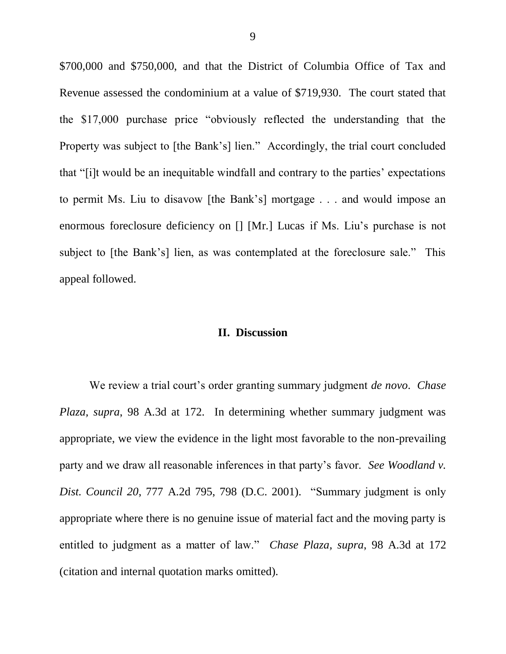\$700,000 and \$750,000, and that the District of Columbia Office of Tax and Revenue assessed the condominium at a value of \$719,930. The court stated that the \$17,000 purchase price "obviously reflected the understanding that the Property was subject to [the Bank's] lien." Accordingly, the trial court concluded that "[i]t would be an inequitable windfall and contrary to the parties' expectations to permit Ms. Liu to disavow [the Bank's] mortgage . . . and would impose an enormous foreclosure deficiency on [] [Mr.] Lucas if Ms. Liu's purchase is not subject to [the Bank's] lien, as was contemplated at the foreclosure sale." This appeal followed.

#### **II. Discussion**

We review a trial court's order granting summary judgment *de novo*. *Chase Plaza, supra*, 98 A.3d at 172. In determining whether summary judgment was appropriate, we view the evidence in the light most favorable to the non-prevailing party and we draw all reasonable inferences in that party's favor. *See Woodland v. Dist. Council 20*, 777 A.2d 795, 798 (D.C. 2001). "Summary judgment is only appropriate where there is no genuine issue of material fact and the moving party is entitled to judgment as a matter of law." *Chase Plaza, supra*, 98 A.3d at 172 (citation and internal quotation marks omitted).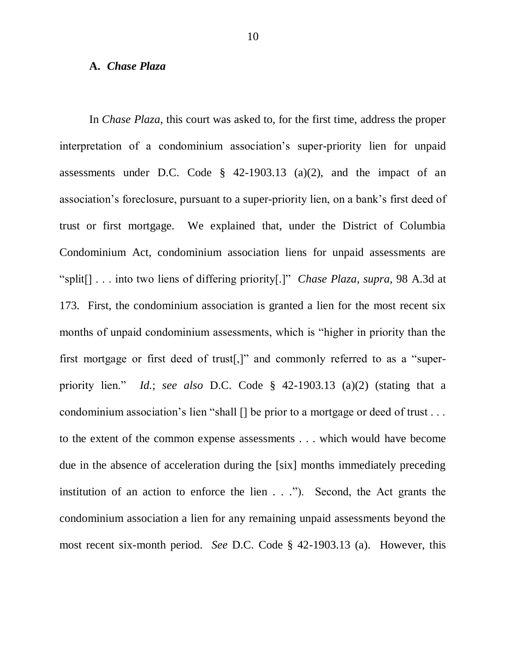#### **A.** *Chase Plaza*

In *Chase Plaza*, this court was asked to, for the first time, address the proper interpretation of a condominium association's super-priority lien for unpaid assessments under D.C. Code § 42-1903.13 (a)(2), and the impact of an association's foreclosure, pursuant to a super-priority lien, on a bank's first deed of trust or first mortgage. We explained that, under the District of Columbia Condominium Act, condominium association liens for unpaid assessments are "split[] . . . into two liens of differing priority[.]" *Chase Plaza, supra*, 98 A.3d at 173. First, the condominium association is granted a lien for the most recent six months of unpaid condominium assessments, which is "higher in priority than the first mortgage or first deed of trust[,]" and commonly referred to as a "superpriority lien." *Id.*; *see also* D.C. Code § 42-1903.13 (a)(2) (stating that a condominium association's lien "shall [] be prior to a mortgage or deed of trust . . . to the extent of the common expense assessments . . . which would have become due in the absence of acceleration during the [six] months immediately preceding institution of an action to enforce the lien . . ."). Second, the Act grants the condominium association a lien for any remaining unpaid assessments beyond the most recent six-month period. *See* D.C. Code § 42-1903.13 (a). However, this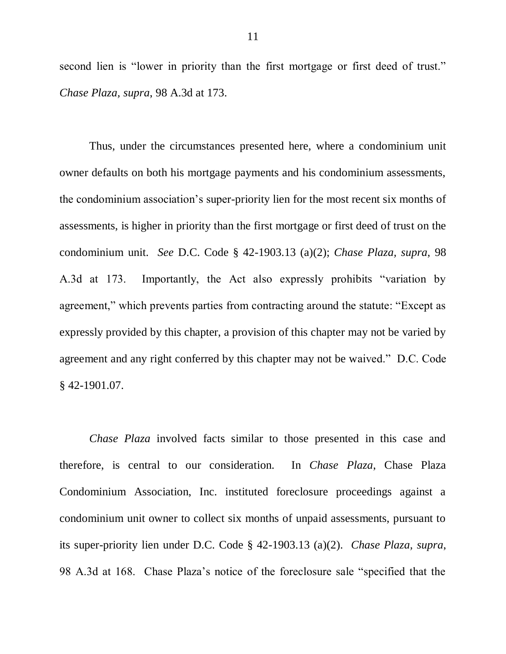second lien is "lower in priority than the first mortgage or first deed of trust." *Chase Plaza, supra*, 98 A.3d at 173.

Thus, under the circumstances presented here, where a condominium unit owner defaults on both his mortgage payments and his condominium assessments, the condominium association's super-priority lien for the most recent six months of assessments, is higher in priority than the first mortgage or first deed of trust on the condominium unit. *See* D.C. Code § 42-1903.13 (a)(2); *Chase Plaza, supra*, 98 A.3d at 173. Importantly, the Act also expressly prohibits "variation by agreement," which prevents parties from contracting around the statute: "Except as expressly provided by this chapter, a provision of this chapter may not be varied by agreement and any right conferred by this chapter may not be waived." D.C. Code § 42-1901.07.

*Chase Plaza* involved facts similar to those presented in this case and therefore, is central to our consideration. In *Chase Plaza*, Chase Plaza Condominium Association, Inc. instituted foreclosure proceedings against a condominium unit owner to collect six months of unpaid assessments, pursuant to its super-priority lien under D.C. Code § 42-1903.13 (a)(2). *Chase Plaza, supra*, 98 A.3d at 168. Chase Plaza's notice of the foreclosure sale "specified that the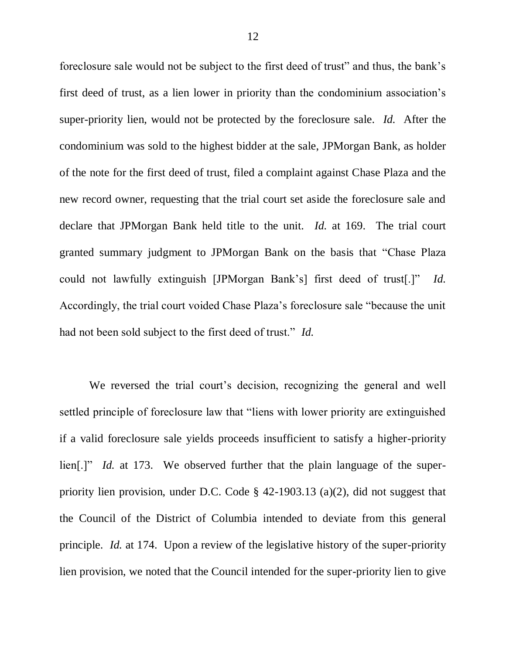foreclosure sale would not be subject to the first deed of trust" and thus, the bank's first deed of trust, as a lien lower in priority than the condominium association's super-priority lien, would not be protected by the foreclosure sale. *Id.* After the condominium was sold to the highest bidder at the sale, JPMorgan Bank, as holder of the note for the first deed of trust, filed a complaint against Chase Plaza and the new record owner, requesting that the trial court set aside the foreclosure sale and declare that JPMorgan Bank held title to the unit. *Id.* at 169. The trial court granted summary judgment to JPMorgan Bank on the basis that "Chase Plaza could not lawfully extinguish [JPMorgan Bank's] first deed of trust[.]" *Id.* Accordingly, the trial court voided Chase Plaza's foreclosure sale "because the unit had not been sold subject to the first deed of trust." *Id.* 

We reversed the trial court's decision, recognizing the general and well settled principle of foreclosure law that "liens with lower priority are extinguished if a valid foreclosure sale yields proceeds insufficient to satisfy a higher-priority lien[.]" *Id.* at 173. We observed further that the plain language of the superpriority lien provision, under D.C. Code § 42-1903.13 (a)(2), did not suggest that the Council of the District of Columbia intended to deviate from this general principle. *Id.* at 174. Upon a review of the legislative history of the super-priority lien provision, we noted that the Council intended for the super-priority lien to give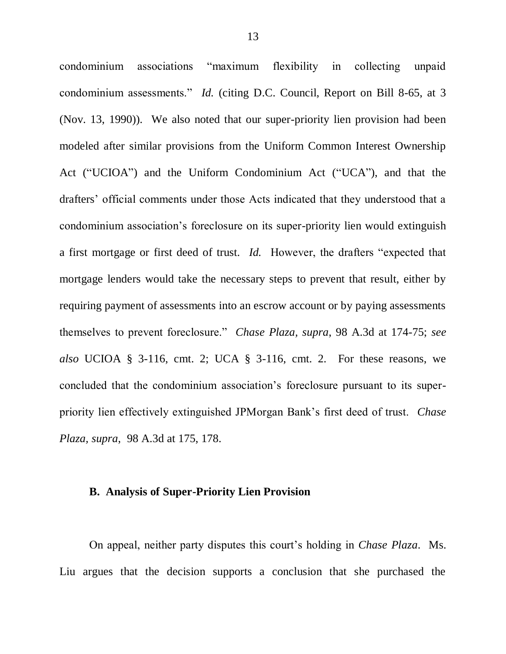condominium associations "maximum flexibility in collecting unpaid condominium assessments." *Id.* (citing D.C. Council, Report on Bill 8-65, at 3 (Nov. 13, 1990)). We also noted that our super-priority lien provision had been modeled after similar provisions from the Uniform Common Interest Ownership Act ("UCIOA") and the Uniform Condominium Act ("UCA"), and that the drafters' official comments under those Acts indicated that they understood that a condominium association's foreclosure on its super-priority lien would extinguish a first mortgage or first deed of trust. *Id.* However, the drafters "expected that mortgage lenders would take the necessary steps to prevent that result, either by requiring payment of assessments into an escrow account or by paying assessments themselves to prevent foreclosure." *Chase Plaza, supra*, 98 A.3d at 174-75; *see also* UCIOA § 3-116, cmt. 2; UCA § 3-116, cmt. 2. For these reasons, we concluded that the condominium association's foreclosure pursuant to its superpriority lien effectively extinguished JPMorgan Bank's first deed of trust. *Chase Plaza, supra*, 98 A.3d at 175, 178.

### **B. Analysis of Super-Priority Lien Provision**

On appeal, neither party disputes this court's holding in *Chase Plaza*. Ms. Liu argues that the decision supports a conclusion that she purchased the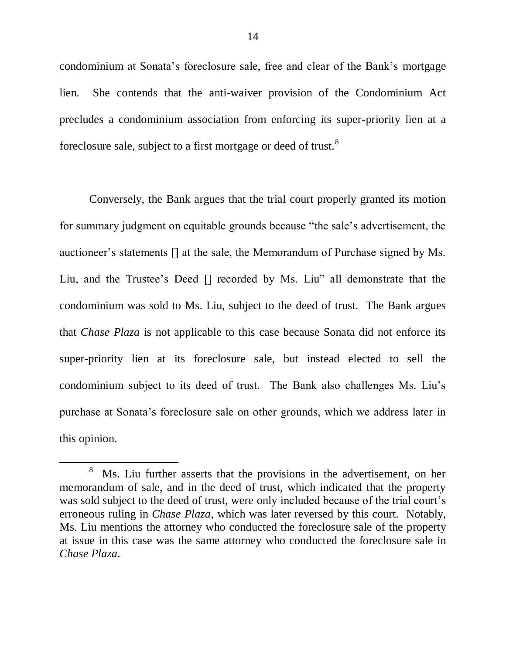condominium at Sonata's foreclosure sale, free and clear of the Bank's mortgage lien. She contends that the anti-waiver provision of the Condominium Act precludes a condominium association from enforcing its super-priority lien at a foreclosure sale, subject to a first mortgage or deed of trust.<sup>8</sup>

Conversely, the Bank argues that the trial court properly granted its motion for summary judgment on equitable grounds because "the sale's advertisement, the auctioneer's statements [] at the sale, the Memorandum of Purchase signed by Ms. Liu, and the Trustee's Deed [] recorded by Ms. Liu" all demonstrate that the condominium was sold to Ms. Liu, subject to the deed of trust. The Bank argues that *Chase Plaza* is not applicable to this case because Sonata did not enforce its super-priority lien at its foreclosure sale, but instead elected to sell the condominium subject to its deed of trust. The Bank also challenges Ms. Liu's purchase at Sonata's foreclosure sale on other grounds, which we address later in this opinion.

 $\overline{\phantom{a}}$ 

<sup>&</sup>lt;sup>8</sup> Ms. Liu further asserts that the provisions in the advertisement, on her memorandum of sale, and in the deed of trust, which indicated that the property was sold subject to the deed of trust, were only included because of the trial court's erroneous ruling in *Chase Plaza*, which was later reversed by this court. Notably, Ms. Liu mentions the attorney who conducted the foreclosure sale of the property at issue in this case was the same attorney who conducted the foreclosure sale in *Chase Plaza*.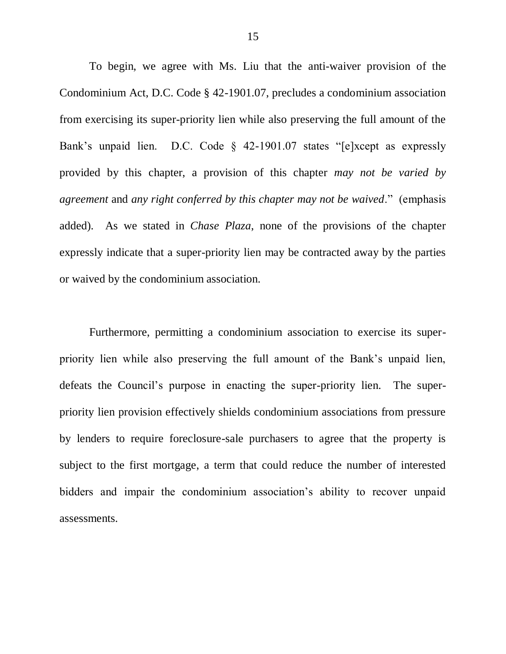To begin, we agree with Ms. Liu that the anti-waiver provision of the Condominium Act, D.C. Code § 42-1901.07, precludes a condominium association from exercising its super-priority lien while also preserving the full amount of the Bank's unpaid lien. D.C. Code § 42-1901.07 states "[e]xcept as expressly provided by this chapter, a provision of this chapter *may not be varied by agreement* and *any right conferred by this chapter may not be waived*." (emphasis added). As we stated in *Chase Plaza*, none of the provisions of the chapter expressly indicate that a super-priority lien may be contracted away by the parties or waived by the condominium association.

Furthermore, permitting a condominium association to exercise its superpriority lien while also preserving the full amount of the Bank's unpaid lien, defeats the Council's purpose in enacting the super-priority lien. The superpriority lien provision effectively shields condominium associations from pressure by lenders to require foreclosure-sale purchasers to agree that the property is subject to the first mortgage, a term that could reduce the number of interested bidders and impair the condominium association's ability to recover unpaid assessments.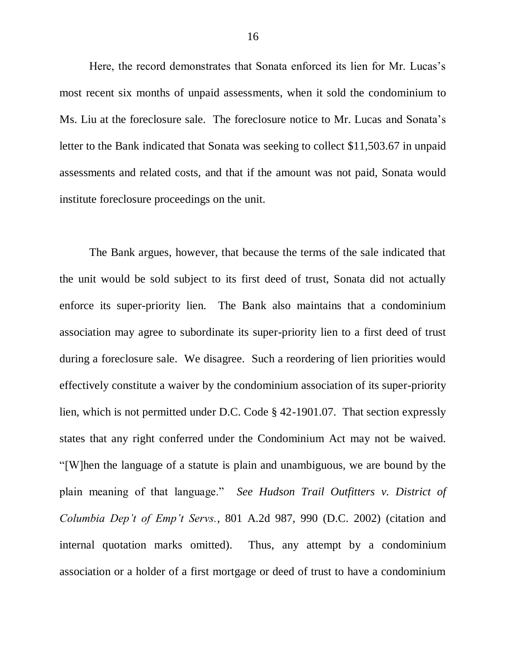Here, the record demonstrates that Sonata enforced its lien for Mr. Lucas's most recent six months of unpaid assessments, when it sold the condominium to Ms. Liu at the foreclosure sale. The foreclosure notice to Mr. Lucas and Sonata's letter to the Bank indicated that Sonata was seeking to collect \$11,503.67 in unpaid assessments and related costs, and that if the amount was not paid, Sonata would institute foreclosure proceedings on the unit.

The Bank argues, however, that because the terms of the sale indicated that the unit would be sold subject to its first deed of trust, Sonata did not actually enforce its super-priority lien. The Bank also maintains that a condominium association may agree to subordinate its super-priority lien to a first deed of trust during a foreclosure sale. We disagree. Such a reordering of lien priorities would effectively constitute a waiver by the condominium association of its super-priority lien, which is not permitted under D.C. Code § 42-1901.07. That section expressly states that any right conferred under the Condominium Act may not be waived. "[W]hen the language of a statute is plain and unambiguous, we are bound by the plain meaning of that language." *See Hudson Trail Outfitters v. District of Columbia Dep't of Emp't Servs.*, 801 A.2d 987, 990 (D.C. 2002) (citation and internal quotation marks omitted). Thus, any attempt by a condominium association or a holder of a first mortgage or deed of trust to have a condominium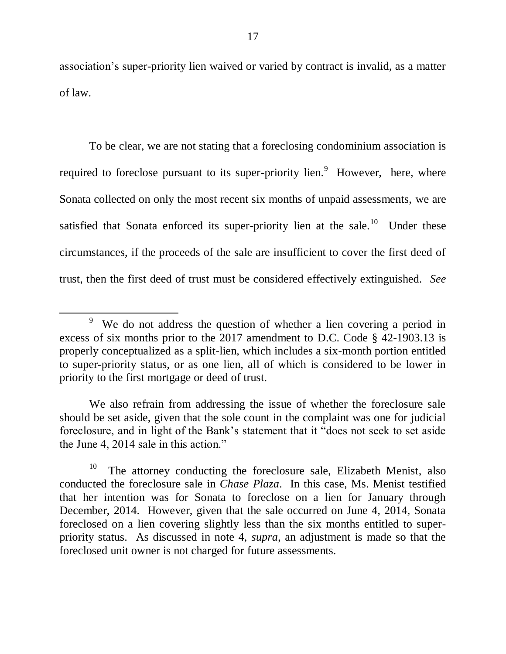association's super-priority lien waived or varied by contract is invalid, as a matter of law.

To be clear, we are not stating that a foreclosing condominium association is required to foreclose pursuant to its super-priority lien.<sup>9</sup> However, here, where Sonata collected on only the most recent six months of unpaid assessments, we are satisfied that Sonata enforced its super-priority lien at the sale.<sup>10</sup> Under these circumstances, if the proceeds of the sale are insufficient to cover the first deed of trust, then the first deed of trust must be considered effectively extinguished. *See*

<sup>9</sup> We do not address the question of whether a lien covering a period in excess of six months prior to the 2017 amendment to D.C. Code § 42-1903.13 is properly conceptualized as a split-lien, which includes a six-month portion entitled to super-priority status, or as one lien, all of which is considered to be lower in priority to the first mortgage or deed of trust.

We also refrain from addressing the issue of whether the foreclosure sale should be set aside, given that the sole count in the complaint was one for judicial foreclosure, and in light of the Bank's statement that it "does not seek to set aside the June 4, 2014 sale in this action."

<sup>10</sup> The attorney conducting the foreclosure sale, Elizabeth Menist, also conducted the foreclosure sale in *Chase Plaza*. In this case, Ms. Menist testified that her intention was for Sonata to foreclose on a lien for January through December, 2014. However, given that the sale occurred on June 4, 2014, Sonata foreclosed on a lien covering slightly less than the six months entitled to superpriority status. As discussed in note 4, *supra*, an adjustment is made so that the foreclosed unit owner is not charged for future assessments.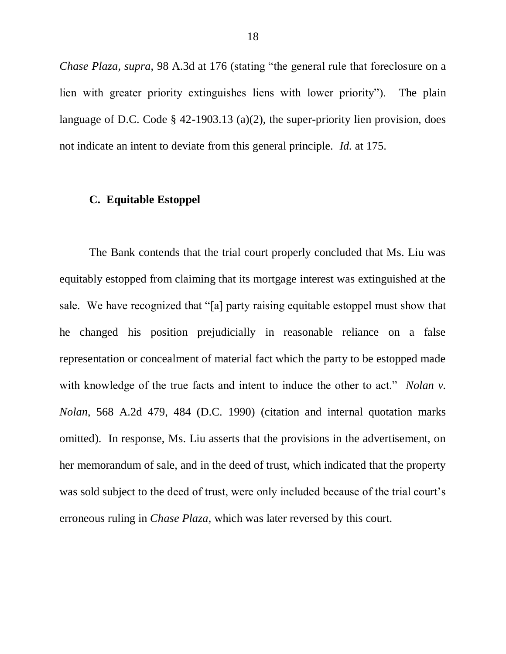*Chase Plaza, supra*, 98 A.3d at 176 (stating "the general rule that foreclosure on a lien with greater priority extinguishes liens with lower priority"). The plain language of D.C. Code  $\S$  42-1903.13 (a)(2), the super-priority lien provision, does not indicate an intent to deviate from this general principle. *Id.* at 175.

#### **C. Equitable Estoppel**

The Bank contends that the trial court properly concluded that Ms. Liu was equitably estopped from claiming that its mortgage interest was extinguished at the sale. We have recognized that "[a] party raising equitable estoppel must show that he changed his position prejudicially in reasonable reliance on a false representation or concealment of material fact which the party to be estopped made with knowledge of the true facts and intent to induce the other to act." *Nolan v. Nolan*, 568 A.2d 479, 484 (D.C. 1990) (citation and internal quotation marks omitted). In response, Ms. Liu asserts that the provisions in the advertisement, on her memorandum of sale, and in the deed of trust, which indicated that the property was sold subject to the deed of trust, were only included because of the trial court's erroneous ruling in *Chase Plaza*, which was later reversed by this court.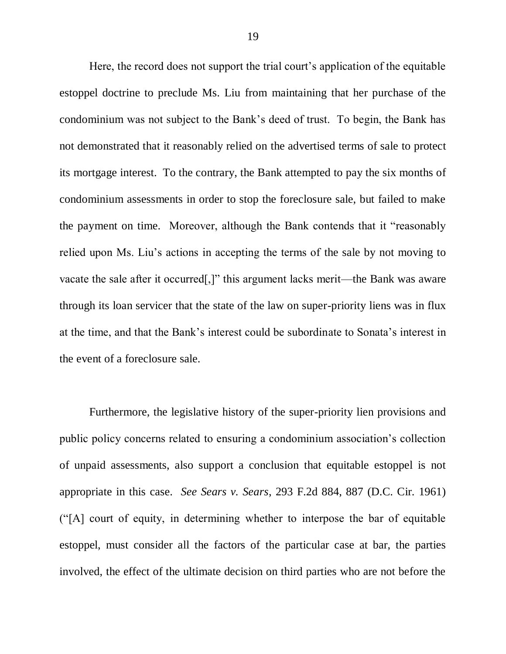Here, the record does not support the trial court's application of the equitable estoppel doctrine to preclude Ms. Liu from maintaining that her purchase of the condominium was not subject to the Bank's deed of trust. To begin, the Bank has not demonstrated that it reasonably relied on the advertised terms of sale to protect its mortgage interest. To the contrary, the Bank attempted to pay the six months of condominium assessments in order to stop the foreclosure sale, but failed to make the payment on time. Moreover, although the Bank contends that it "reasonably relied upon Ms. Liu's actions in accepting the terms of the sale by not moving to vacate the sale after it occurred[,]" this argument lacks merit—the Bank was aware through its loan servicer that the state of the law on super-priority liens was in flux at the time, and that the Bank's interest could be subordinate to Sonata's interest in the event of a foreclosure sale.

Furthermore, the legislative history of the super-priority lien provisions and public policy concerns related to ensuring a condominium association's collection of unpaid assessments, also support a conclusion that equitable estoppel is not appropriate in this case. *See Sears v. Sears*, 293 F.2d 884, 887 (D.C. Cir. 1961) ("[A] court of equity, in determining whether to interpose the bar of equitable estoppel, must consider all the factors of the particular case at bar, the parties involved, the effect of the ultimate decision on third parties who are not before the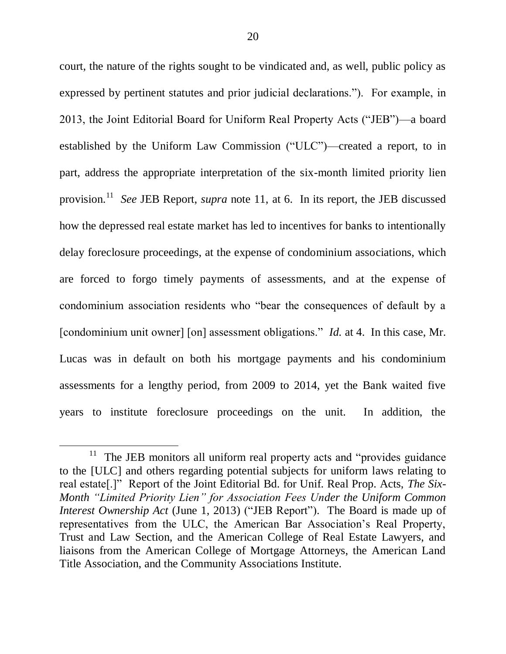court, the nature of the rights sought to be vindicated and, as well, public policy as expressed by pertinent statutes and prior judicial declarations."). For example, in 2013, the Joint Editorial Board for Uniform Real Property Acts ("JEB")—a board established by the Uniform Law Commission ("ULC")—created a report, to in part, address the appropriate interpretation of the six-month limited priority lien provision.<sup>11</sup> *See* JEB Report, *supra* note 11, at 6. In its report, the JEB discussed how the depressed real estate market has led to incentives for banks to intentionally delay foreclosure proceedings, at the expense of condominium associations, which are forced to forgo timely payments of assessments, and at the expense of condominium association residents who "bear the consequences of default by a [condominium unit owner] [on] assessment obligations." *Id.* at 4. In this case, Mr. Lucas was in default on both his mortgage payments and his condominium assessments for a lengthy period, from 2009 to 2014, yet the Bank waited five years to institute foreclosure proceedings on the unit. In addition, the

<sup>11</sup> The JEB monitors all uniform real property acts and "provides guidance to the [ULC] and others regarding potential subjects for uniform laws relating to real estate[.]" Report of the Joint Editorial Bd. for Unif. Real Prop. Acts, *The Six-Month "Limited Priority Lien" for Association Fees Under the Uniform Common Interest Ownership Act* (June 1, 2013) ("JEB Report"). The Board is made up of representatives from the ULC, the American Bar Association's Real Property, Trust and Law Section, and the American College of Real Estate Lawyers, and liaisons from the American College of Mortgage Attorneys, the American Land Title Association, and the Community Associations Institute.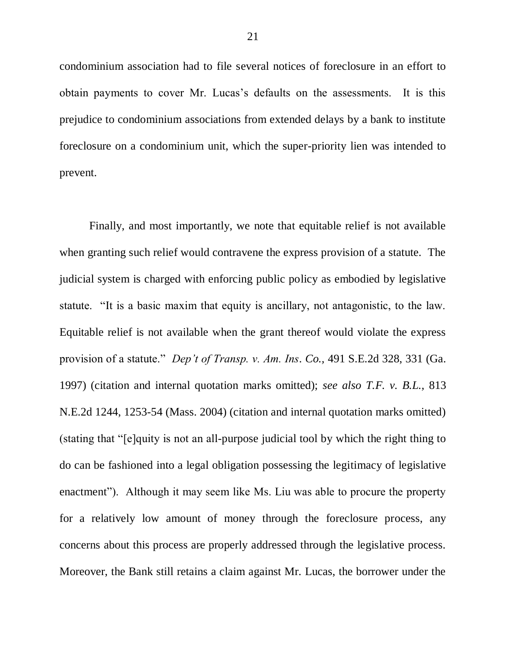condominium association had to file several notices of foreclosure in an effort to obtain payments to cover Mr. Lucas's defaults on the assessments. It is this prejudice to condominium associations from extended delays by a bank to institute foreclosure on a condominium unit, which the super-priority lien was intended to prevent.

Finally, and most importantly, we note that equitable relief is not available when granting such relief would contravene the express provision of a statute. The judicial system is charged with enforcing public policy as embodied by legislative statute. "It is a basic maxim that equity is ancillary, not antagonistic, to the law. Equitable relief is not available when the grant thereof would violate the express provision of a statute." *Dep't of Transp. v. Am. Ins*. *Co.,* 491 S.E.2d 328, 331 (Ga. 1997) (citation and internal quotation marks omitted); *see also T.F. v. B.L.,* 813 N.E.2d 1244, 1253-54 (Mass. 2004) (citation and internal quotation marks omitted) (stating that "[e]quity is not an all-purpose judicial tool by which the right thing to do can be fashioned into a legal obligation possessing the legitimacy of legislative enactment"). Although it may seem like Ms. Liu was able to procure the property for a relatively low amount of money through the foreclosure process, any concerns about this process are properly addressed through the legislative process. Moreover, the Bank still retains a claim against Mr. Lucas, the borrower under the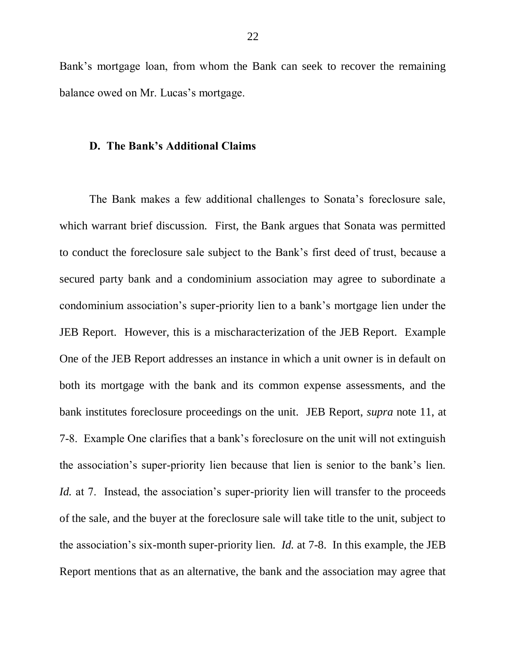Bank's mortgage loan, from whom the Bank can seek to recover the remaining balance owed on Mr. Lucas's mortgage.

### **D. The Bank's Additional Claims**

The Bank makes a few additional challenges to Sonata's foreclosure sale, which warrant brief discussion. First, the Bank argues that Sonata was permitted to conduct the foreclosure sale subject to the Bank's first deed of trust, because a secured party bank and a condominium association may agree to subordinate a condominium association's super-priority lien to a bank's mortgage lien under the JEB Report. However, this is a mischaracterization of the JEB Report. Example One of the JEB Report addresses an instance in which a unit owner is in default on both its mortgage with the bank and its common expense assessments, and the bank institutes foreclosure proceedings on the unit*.* JEB Report, *supra* note 11, at 7-8. Example One clarifies that a bank's foreclosure on the unit will not extinguish the association's super-priority lien because that lien is senior to the bank's lien. *Id.* at 7. Instead, the association's super-priority lien will transfer to the proceeds of the sale, and the buyer at the foreclosure sale will take title to the unit, subject to the association's six-month super-priority lien. *Id.* at 7-8. In this example, the JEB Report mentions that as an alternative, the bank and the association may agree that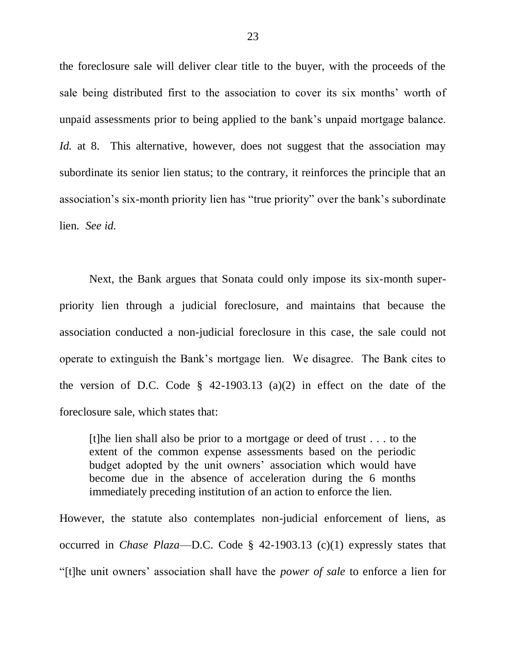the foreclosure sale will deliver clear title to the buyer, with the proceeds of the sale being distributed first to the association to cover its six months' worth of unpaid assessments prior to being applied to the bank's unpaid mortgage balance. *Id.* at 8. This alternative, however, does not suggest that the association may subordinate its senior lien status; to the contrary, it reinforces the principle that an association's six-month priority lien has "true priority" over the bank's subordinate lien. *See id.*

Next, the Bank argues that Sonata could only impose its six-month superpriority lien through a judicial foreclosure, and maintains that because the association conducted a non-judicial foreclosure in this case, the sale could not operate to extinguish the Bank's mortgage lien. We disagree. The Bank cites to the version of D.C. Code  $\S$  42-1903.13 (a)(2) in effect on the date of the foreclosure sale, which states that:

[t]he lien shall also be prior to a mortgage or deed of trust . . . to the extent of the common expense assessments based on the periodic budget adopted by the unit owners' association which would have become due in the absence of acceleration during the 6 months immediately preceding institution of an action to enforce the lien.

However, the statute also contemplates non-judicial enforcement of liens, as occurred in *Chase Plaza*—D.C. Code § 42-1903.13 (c)(1) expressly states that "[t]he unit owners' association shall have the *power of sale* to enforce a lien for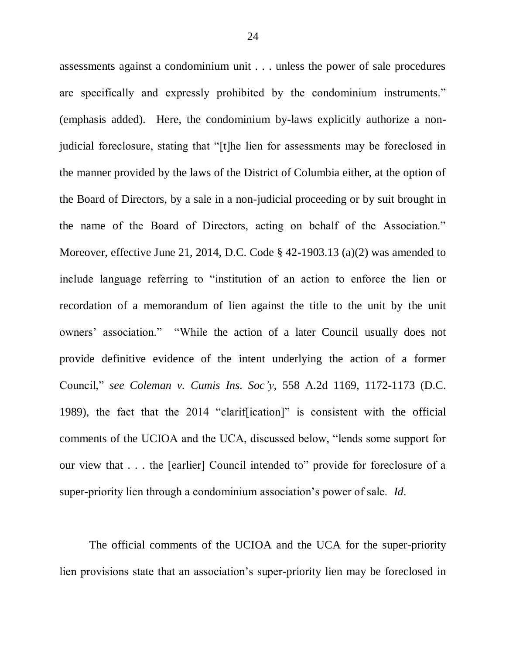assessments against a condominium unit . . . unless the power of sale procedures are specifically and expressly prohibited by the condominium instruments." (emphasis added). Here, the condominium by-laws explicitly authorize a nonjudicial foreclosure, stating that "[t]he lien for assessments may be foreclosed in the manner provided by the laws of the District of Columbia either, at the option of the Board of Directors, by a sale in a non-judicial proceeding or by suit brought in the name of the Board of Directors, acting on behalf of the Association." Moreover, effective June 21, 2014, D.C. Code § 42-1903.13 (a)(2) was amended to include language referring to "institution of an action to enforce the lien or recordation of a memorandum of lien against the title to the unit by the unit owners' association." "While the action of a later Council usually does not provide definitive evidence of the intent underlying the action of a former Council," *see Coleman v. Cumis Ins. Soc'y*, 558 A.2d 1169, 1172-1173 (D.C. 1989), the fact that the 2014 "clarif[ication]" is consistent with the official comments of the UCIOA and the UCA, discussed below, "lends some support for our view that . . . the [earlier] Council intended to" provide for foreclosure of a super-priority lien through a condominium association's power of sale. *Id*.

The official comments of the UCIOA and the UCA for the super-priority lien provisions state that an association's super-priority lien may be foreclosed in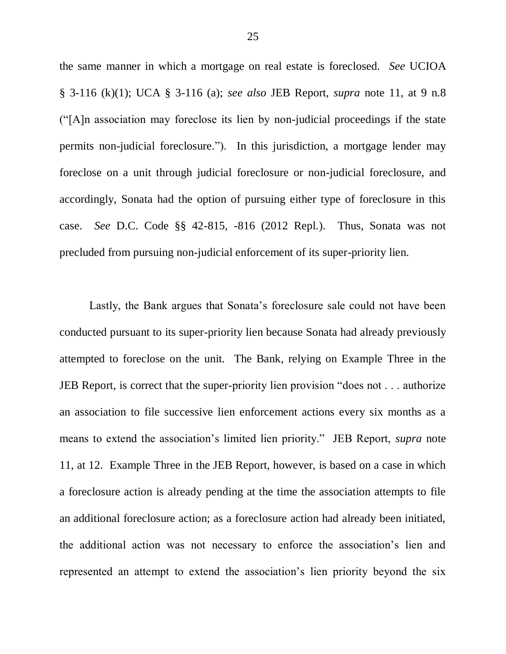the same manner in which a mortgage on real estate is foreclosed. *See* UCIOA § 3-116 (k)(1); UCA § 3-116 (a); *see also* JEB Report, *supra* note 11, at 9 n.8 ("[A]n association may foreclose its lien by non-judicial proceedings if the state permits non-judicial foreclosure."). In this jurisdiction, a mortgage lender may foreclose on a unit through judicial foreclosure or non-judicial foreclosure, and accordingly, Sonata had the option of pursuing either type of foreclosure in this case. *See* D.C. Code §§ 42-815, -816 (2012 Repl.). Thus, Sonata was not precluded from pursuing non-judicial enforcement of its super-priority lien.

Lastly, the Bank argues that Sonata's foreclosure sale could not have been conducted pursuant to its super-priority lien because Sonata had already previously attempted to foreclose on the unit. The Bank, relying on Example Three in the JEB Report, is correct that the super-priority lien provision "does not . . . authorize an association to file successive lien enforcement actions every six months as a means to extend the association's limited lien priority." JEB Report, *supra* note 11, at 12. Example Three in the JEB Report, however, is based on a case in which a foreclosure action is already pending at the time the association attempts to file an additional foreclosure action; as a foreclosure action had already been initiated, the additional action was not necessary to enforce the association's lien and represented an attempt to extend the association's lien priority beyond the six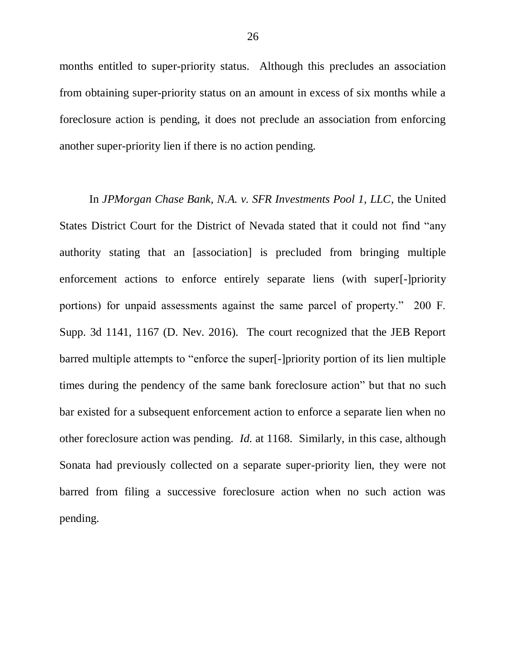months entitled to super-priority status. Although this precludes an association from obtaining super-priority status on an amount in excess of six months while a foreclosure action is pending, it does not preclude an association from enforcing another super-priority lien if there is no action pending.

In *JPMorgan Chase Bank, N.A. v. SFR Investments Pool 1, LLC*, the United States District Court for the District of Nevada stated that it could not find "any authority stating that an [association] is precluded from bringing multiple enforcement actions to enforce entirely separate liens (with super[-]priority portions) for unpaid assessments against the same parcel of property." 200 F. Supp. 3d 1141, 1167 (D. Nev. 2016). The court recognized that the JEB Report barred multiple attempts to "enforce the super[-]priority portion of its lien multiple times during the pendency of the same bank foreclosure action" but that no such bar existed for a subsequent enforcement action to enforce a separate lien when no other foreclosure action was pending. *Id.* at 1168. Similarly, in this case, although Sonata had previously collected on a separate super-priority lien, they were not barred from filing a successive foreclosure action when no such action was pending.